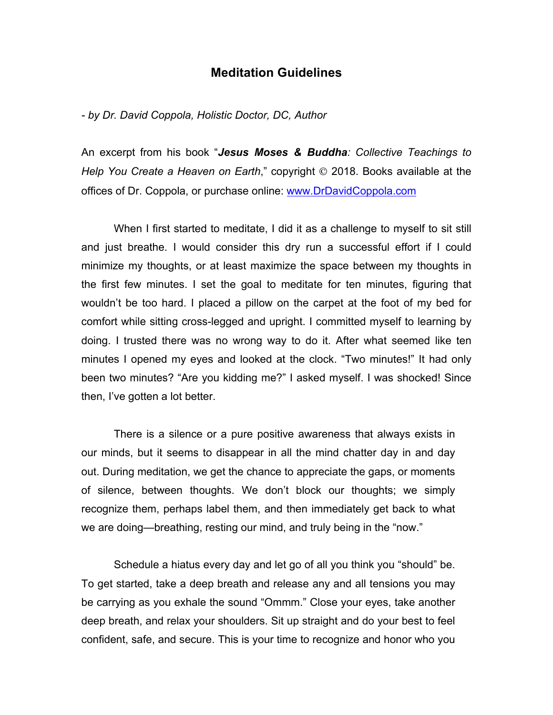## **Meditation Guidelines**

*- by Dr. David Coppola, Holistic Doctor, DC, Author*

An excerpt from his book "*Jesus Moses & Buddha: Collective Teachings to Help You Create a Heaven on Earth*," copyright © 2018. Books available at the offices of Dr. Coppola, or purchase online: www.DrDavidCoppola.com

When I first started to meditate, I did it as a challenge to myself to sit still and just breathe. I would consider this dry run a successful effort if I could minimize my thoughts, or at least maximize the space between my thoughts in the first few minutes. I set the goal to meditate for ten minutes, figuring that wouldn't be too hard. I placed a pillow on the carpet at the foot of my bed for comfort while sitting cross-legged and upright. I committed myself to learning by doing. I trusted there was no wrong way to do it. After what seemed like ten minutes I opened my eyes and looked at the clock. "Two minutes!" It had only been two minutes? "Are you kidding me?" I asked myself. I was shocked! Since then, I've gotten a lot better.

There is a silence or a pure positive awareness that always exists in our minds, but it seems to disappear in all the mind chatter day in and day out. During meditation, we get the chance to appreciate the gaps, or moments of silence, between thoughts. We don't block our thoughts; we simply recognize them, perhaps label them, and then immediately get back to what we are doing—breathing, resting our mind, and truly being in the "now."

Schedule a hiatus every day and let go of all you think you "should" be. To get started, take a deep breath and release any and all tensions you may be carrying as you exhale the sound "Ommm." Close your eyes, take another deep breath, and relax your shoulders. Sit up straight and do your best to feel confident, safe, and secure. This is your time to recognize and honor who you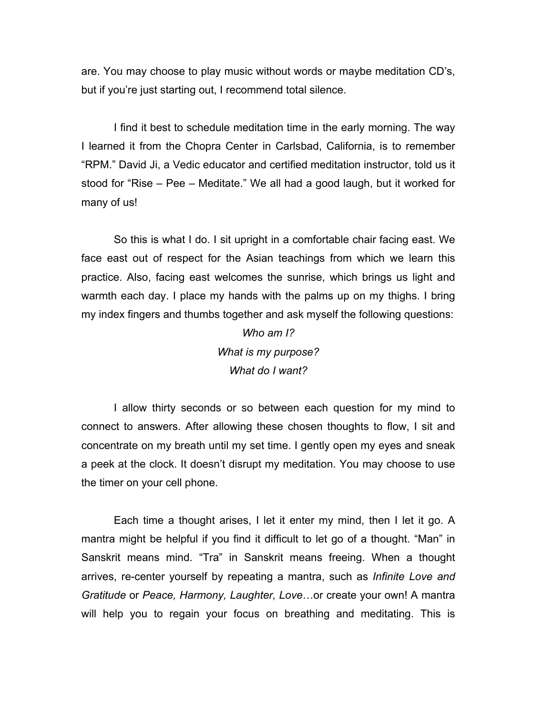are. You may choose to play music without words or maybe meditation CD's, but if you're just starting out, I recommend total silence.

I find it best to schedule meditation time in the early morning. The way I learned it from the Chopra Center in Carlsbad, California, is to remember "RPM." David Ji, a Vedic educator and certified meditation instructor, told us it stood for "Rise – Pee – Meditate." We all had a good laugh, but it worked for many of us!

So this is what I do. I sit upright in a comfortable chair facing east. We face east out of respect for the Asian teachings from which we learn this practice. Also, facing east welcomes the sunrise, which brings us light and warmth each day. I place my hands with the palms up on my thighs. I bring my index fingers and thumbs together and ask myself the following questions:

> *Who am I? What is my purpose? What do I want?*

I allow thirty seconds or so between each question for my mind to connect to answers. After allowing these chosen thoughts to flow, I sit and concentrate on my breath until my set time. I gently open my eyes and sneak a peek at the clock. It doesn't disrupt my meditation. You may choose to use the timer on your cell phone.

Each time a thought arises, I let it enter my mind, then I let it go. A mantra might be helpful if you find it difficult to let go of a thought. "Man" in Sanskrit means mind. "Tra" in Sanskrit means freeing. When a thought arrives, re-center yourself by repeating a mantra, such as *Infinite Love and Gratitude* or *Peace, Harmony, Laughter, Love*…or create your own! A mantra will help you to regain your focus on breathing and meditating. This is